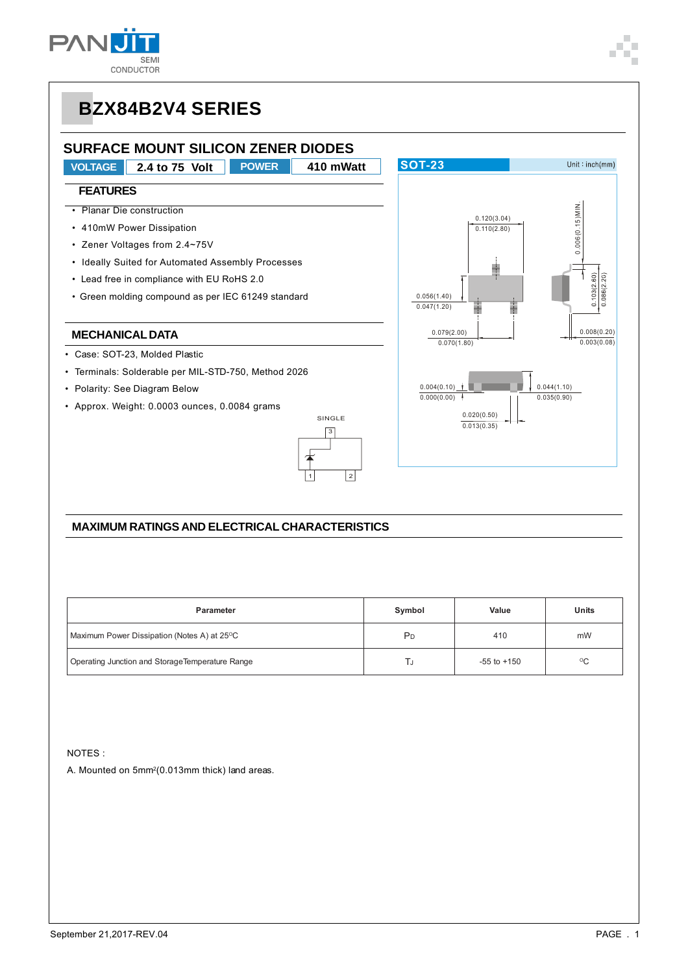

### **SURFACE MOUNT SILICON ZENER DIODES**

**VOLTAGE 2.4 to 75 Volt POWER 410 mWatt**

#### **FEATURES**

- Planar Die construction
- 410mW Power Dissipation
- Zener Voltages from 2.4~75V
- Ideally Suited for Automated Assembly Processes
- Lead free in compliance with EU RoHS 2.0
- Green molding compound as per IEC 61249 standard

#### **MECHANICAL DATA**

- Case: SOT-23, Molded Plastic
- Terminals: Solderable per MIL-STD-750, Method 2026
- Polarity: See Diagram Below
- Approx. Weight: 0.0003 ounces, 0.0084 grams





#### **MAXIMUM RATINGS AND ELECTRICAL CHARACTERISTICS**

| <b>Parameter</b>                                         | Symbol         | Value           | Units           |
|----------------------------------------------------------|----------------|-----------------|-----------------|
| Maximum Power Dissipation (Notes A) at 25 <sup>o</sup> C | P <sub>D</sub> | 410             | mW              |
| Operating Junction and StorageTemperature Range          |                | $-55$ to $+150$ | $\rm ^{\circ}C$ |

NOTES :

A. Mounted on 5mm2(0.013mm thick) land areas.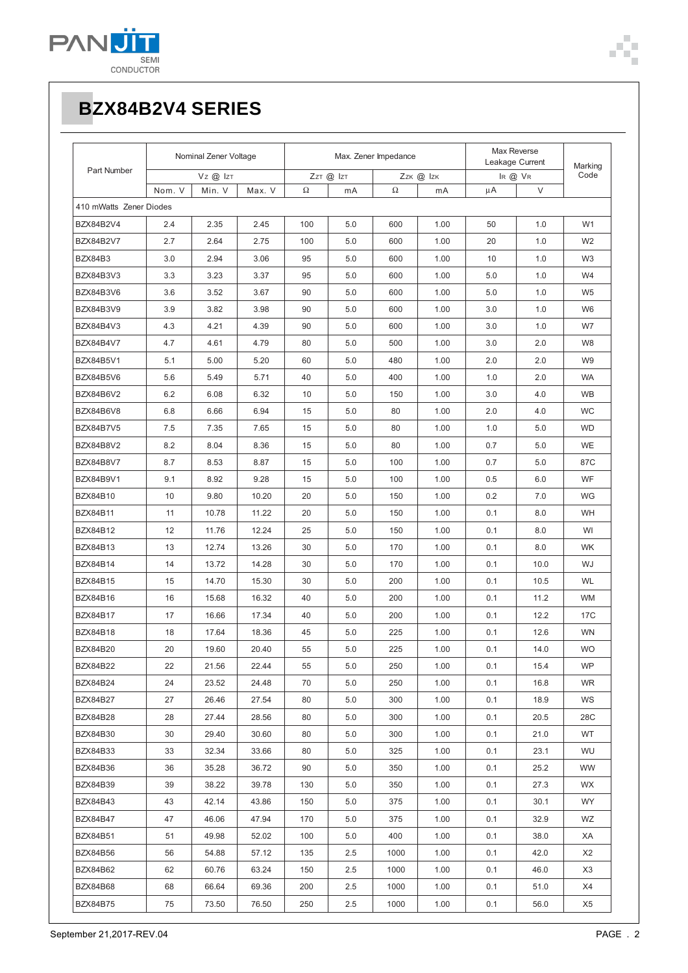

| Part Number             | Nominal Zener Voltage |        | Max. Zener Impedance |           |         | Max Reverse<br>Leakage Current |      | Marking |      |                |
|-------------------------|-----------------------|--------|----------------------|-----------|---------|--------------------------------|------|---------|------|----------------|
|                         | $VZ$ @ $IZT$          |        |                      | ZzT @ IzT |         | Zzk @ Izk                      |      | IR @ VR | Code |                |
|                         | Nom. V                | Min. V | Max. V               | Ω         | mA      | Ω                              | mA   | μA      | V    |                |
| 410 mWatts Zener Diodes |                       |        |                      |           |         |                                |      |         |      |                |
| <b>BZX84B2V4</b>        | 2.4                   | 2.35   | 2.45                 | 100       | 5.0     | 600                            | 1.00 | 50      | 1.0  | W <sub>1</sub> |
| <b>BZX84B2V7</b>        | 2.7                   | 2.64   | 2.75                 | 100       | 5.0     | 600                            | 1.00 | 20      | 1.0  | W <sub>2</sub> |
| BZX84B3                 | 3.0                   | 2.94   | 3.06                 | 95        | 5.0     | 600                            | 1.00 | 10      | 1.0  | W <sub>3</sub> |
| BZX84B3V3               | 3.3                   | 3.23   | 3.37                 | 95        | 5.0     | 600                            | 1.00 | 5.0     | 1.0  | W <sub>4</sub> |
| BZX84B3V6               | 3.6                   | 3.52   | 3.67                 | 90        | 5.0     | 600                            | 1.00 | 5.0     | 1.0  | W <sub>5</sub> |
| <b>BZX84B3V9</b>        | 3.9                   | 3.82   | 3.98                 | 90        | 5.0     | 600                            | 1.00 | 3.0     | 1.0  | W <sub>6</sub> |
| BZX84B4V3               | 4.3                   | 4.21   | 4.39                 | 90        | 5.0     | 600                            | 1.00 | 3.0     | 1.0  | W7             |
| <b>BZX84B4V7</b>        | 4.7                   | 4.61   | 4.79                 | 80        | 5.0     | 500                            | 1.00 | 3.0     | 2.0  | W8             |
| <b>BZX84B5V1</b>        | 5.1                   | 5.00   | 5.20                 | 60        | 5.0     | 480                            | 1.00 | 2.0     | 2.0  | W9             |
| BZX84B5V6               | 5.6                   | 5.49   | 5.71                 | 40        | 5.0     | 400                            | 1.00 | 1.0     | 2.0  | <b>WA</b>      |
| <b>BZX84B6V2</b>        | 6.2                   | 6.08   | 6.32                 | 10        | 5.0     | 150                            | 1.00 | 3.0     | 4.0  | <b>WB</b>      |
| BZX84B6V8               | 6.8                   | 6.66   | 6.94                 | 15        | 5.0     | 80                             | 1.00 | 2.0     | 4.0  | WC             |
| <b>BZX84B7V5</b>        | 7.5                   | 7.35   | 7.65                 | 15        | 5.0     | 80                             | 1.00 | 1.0     | 5.0  | <b>WD</b>      |
| BZX84B8V2               | 8.2                   | 8.04   | 8.36                 | 15        | 5.0     | 80                             | 1.00 | 0.7     | 5.0  | WE             |
| <b>BZX84B8V7</b>        | 8.7                   | 8.53   | 8.87                 | 15        | 5.0     | 100                            | 1.00 | 0.7     | 5.0  | 87C            |
| <b>BZX84B9V1</b>        | 9.1                   | 8.92   | 9.28                 | 15        | 5.0     | 100                            | 1.00 | 0.5     | 6.0  | WF             |
| <b>BZX84B10</b>         | 10                    | 9.80   | 10.20                | 20        | 5.0     | 150                            | 1.00 | 0.2     | 7.0  | <b>WG</b>      |
| <b>BZX84B11</b>         | 11                    | 10.78  | 11.22                | 20        | 5.0     | 150                            | 1.00 | 0.1     | 8.0  | WH             |
| <b>BZX84B12</b>         | 12                    | 11.76  | 12.24                | 25        | 5.0     | 150                            | 1.00 | 0.1     | 8.0  | WI             |
| <b>BZX84B13</b>         | 13                    | 12.74  | 13.26                | 30        | 5.0     | 170                            | 1.00 | 0.1     | 8.0  | <b>WK</b>      |
| <b>BZX84B14</b>         | 14                    | 13.72  | 14.28                | 30        | 5.0     | 170                            | 1.00 | 0.1     | 10.0 | WJ             |
| <b>BZX84B15</b>         | 15                    | 14.70  | 15.30                | 30        | 5.0     | 200                            | 1.00 | 0.1     | 10.5 | <b>WL</b>      |
| <b>BZX84B16</b>         | 16                    | 15.68  | 16.32                | 40        | 5.0     | 200                            | 1.00 | 0.1     | 11.2 | <b>WM</b>      |
| <b>BZX84B17</b>         | 17                    | 16.66  | 17.34                | 40        | 5.0     | 200                            | 1.00 | 0.1     | 12.2 | 17C            |
| <b>BZX84B18</b>         | 18                    | 17.64  | 18.36                | 45        | 5.0     | 225                            | 1.00 | 0.1     | 12.6 | <b>WN</b>      |
| BZX84B20                | 20                    | 19.60  | 20.40                | 55        | 5.0     | 225                            | 1.00 | 0.1     | 14.0 | <b>WO</b>      |
| <b>BZX84B22</b>         | 22                    | 21.56  | 22.44                | 55        | 5.0     | 250                            | 1.00 | 0.1     | 15.4 | <b>WP</b>      |
| <b>BZX84B24</b>         | 24                    | 23.52  | 24.48                | 70        | 5.0     | 250                            | 1.00 | 0.1     | 16.8 | <b>WR</b>      |
| BZX84B27                | 27                    | 26.46  | 27.54                | 80        | 5.0     | 300                            | 1.00 | 0.1     | 18.9 | WS             |
| BZX84B28                | 28                    | 27.44  | 28.56                | 80        | 5.0     | 300                            | 1.00 | 0.1     | 20.5 | 28C            |
| BZX84B30                | 30                    | 29.40  | 30.60                | 80        | 5.0     | 300                            | 1.00 | 0.1     | 21.0 | WT             |
| BZX84B33                | 33                    | 32.34  | 33.66                | 80        | 5.0     | 325                            | 1.00 | 0.1     | 23.1 | WU             |
| BZX84B36                | 36                    | 35.28  | 36.72                | 90        | 5.0     | 350                            | 1.00 | 0.1     | 25.2 | WW             |
| <b>BZX84B39</b>         | 39                    | 38.22  | 39.78                | 130       | 5.0     | 350                            | 1.00 | 0.1     | 27.3 | WX.            |
| <b>BZX84B43</b>         | 43                    | 42.14  | 43.86                | 150       | 5.0     | 375                            | 1.00 | 0.1     | 30.1 | WY.            |
| BZX84B47                | 47                    | 46.06  | 47.94                | 170       | 5.0     | 375                            | 1.00 | 0.1     | 32.9 | WZ             |
| <b>BZX84B51</b>         | 51                    | 49.98  | 52.02                | 100       | 5.0     | 400                            | 1.00 | 0.1     | 38.0 | XA             |
| BZX84B56                | 56                    | 54.88  | 57.12                | 135       | 2.5     | 1000                           | 1.00 | 0.1     | 42.0 | X2             |
| BZX84B62                | 62                    | 60.76  | 63.24                | 150       | 2.5     | 1000                           | 1.00 | 0.1     | 46.0 | X3             |
| BZX84B68                | 68                    | 66.64  | 69.36                | 200       | 2.5     | 1000                           | 1.00 | 0.1     | 51.0 | X4             |
| BZX84B75                | 75                    | 73.50  | 76.50                | 250       | $2.5\,$ | 1000                           | 1.00 | 0.1     | 56.0 | X5             |

Ì.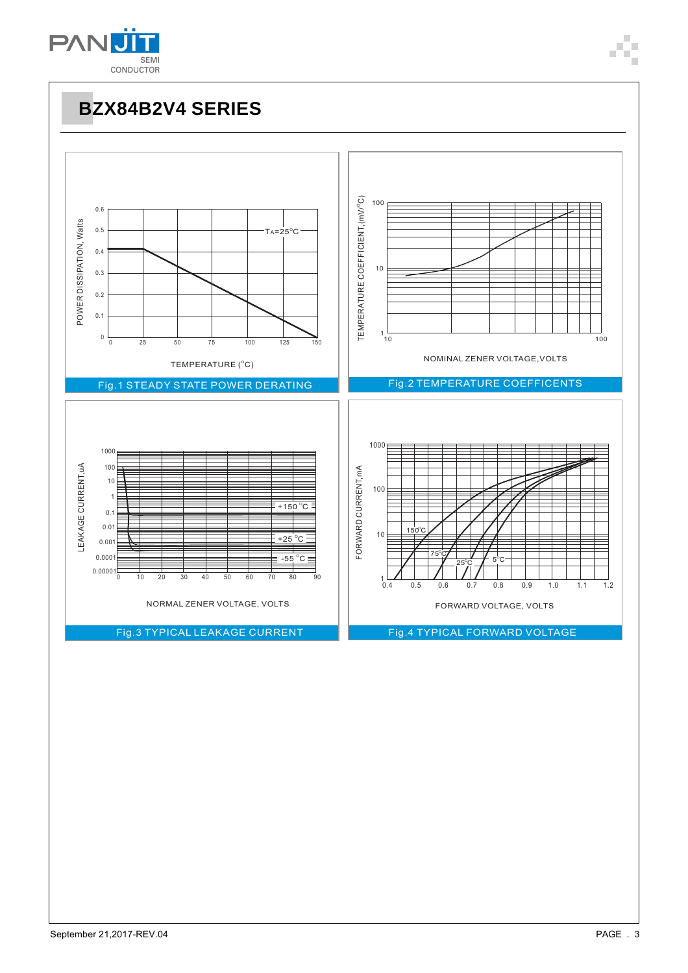

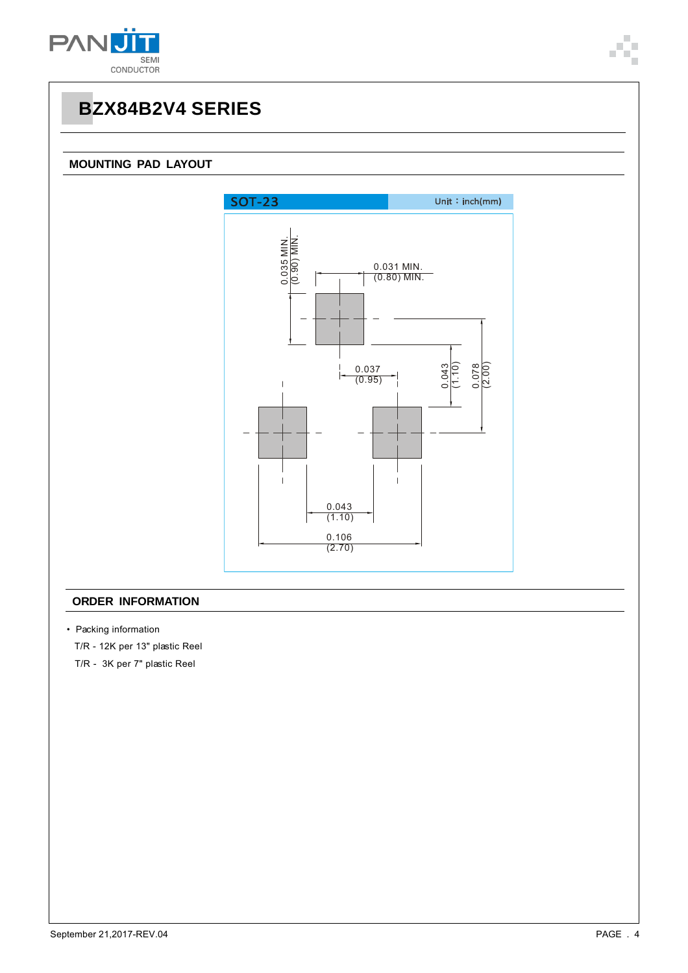

#### **MOUNTING PAD LAYOUT**



#### **ORDER INFORMATION**

• Packing information

T/R - 12K per 13" plastic Reel

T/R - 3K per 7" plastic Reel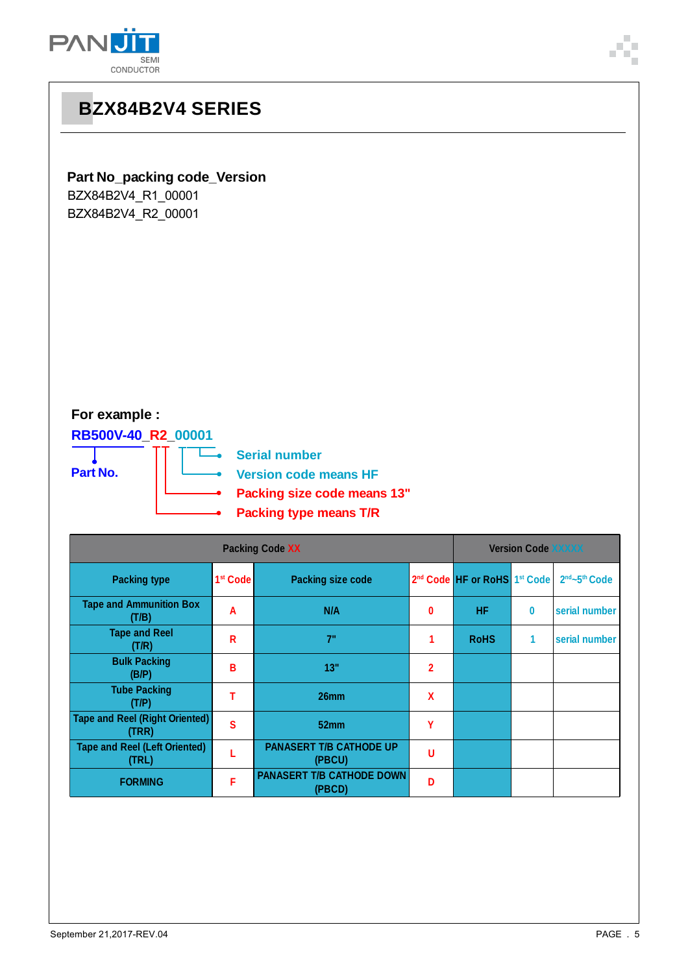

# **BZX84B2V4 SERIES Part No\_packing code\_Version** BZX84B2V4\_R1\_00001 BZX84B2V4\_R2\_00001 **For example : RB500V-40\_R2\_00001** Τ **Serial number**  $\overline{\phantom{a}}$ **Part No. Version code means HF Packing size code means 13" Packing type means T/R**

| <b>Packing Code XX</b>                         |                      |                                            |                |                                                      | <b>Version Code XXXXX</b> |               |  |
|------------------------------------------------|----------------------|--------------------------------------------|----------------|------------------------------------------------------|---------------------------|---------------|--|
| <b>Packing type</b>                            | 1 <sup>st</sup> Code | <b>Packing size code</b>                   |                | 2 <sup>nd</sup> Code HF or RoHS 1 <sup>st</sup> Code |                           | 2nd~5th Code  |  |
| <b>Tape and Ammunition Box</b><br>(T/B)        | A                    | N/A                                        | 0              | <b>HF</b>                                            | 0                         | serial number |  |
| <b>Tape and Reel</b><br>(T/R)                  | R                    | 7"                                         |                | <b>RoHS</b>                                          | 1                         | serial number |  |
| <b>Bulk Packing</b><br>(B/P)                   | B                    | 13"                                        | $\overline{2}$ |                                                      |                           |               |  |
| <b>Tube Packing</b><br>(T/P)                   |                      | 26 <sub>mm</sub>                           | $\mathbf x$    |                                                      |                           |               |  |
| <b>Tape and Reel (Right Oriented)</b><br>(TRR) | S                    | 52mm                                       | Υ              |                                                      |                           |               |  |
| <b>Tape and Reel (Left Oriented)</b><br>(TRL)  |                      | <b>PANASERT T/B CATHODE UP</b><br>(PBCU)   | U              |                                                      |                           |               |  |
| <b>FORMING</b>                                 | F                    | <b>PANASERT T/B CATHODE DOWN</b><br>(PBCD) | Đ              |                                                      |                           |               |  |